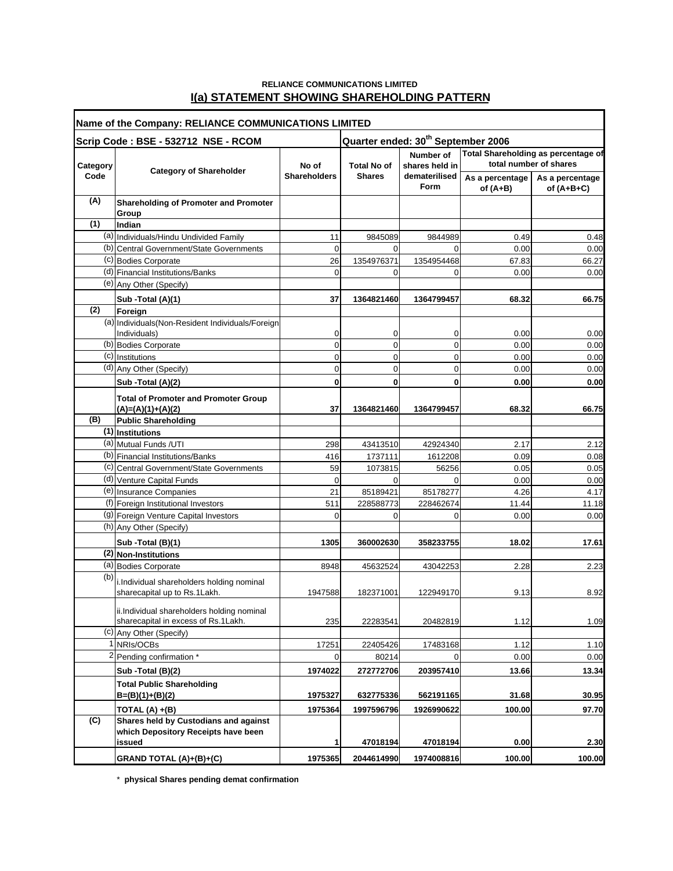## **RELIANCE COMMUNICATIONS LIMITED I(a) STATEMENT SHOWING SHAREHOLDING PATTERN**

| Name of the Company: RELIANCE COMMUNICATIONS LIMITED |                                                                    |                                                |                    |                             |                                                               |                                 |
|------------------------------------------------------|--------------------------------------------------------------------|------------------------------------------------|--------------------|-----------------------------|---------------------------------------------------------------|---------------------------------|
|                                                      | Scrip Code: BSE - 532712 NSE - RCOM                                | Quarter ended: 30 <sup>th</sup> September 2006 |                    |                             |                                                               |                                 |
| Category                                             | <b>Category of Shareholder</b>                                     | No of<br><b>Shareholders</b>                   | <b>Total No of</b> | Number of<br>shares held in | Total Shareholding as percentage of<br>total number of shares |                                 |
| Code                                                 |                                                                    |                                                | <b>Shares</b>      | dematerilised<br>Form       | As a percentage<br>of (A+B)                                   | As a percentage<br>of $(A+B+C)$ |
| (A)                                                  | <b>Shareholding of Promoter and Promoter</b><br>Group              |                                                |                    |                             |                                                               |                                 |
| (1)                                                  | Indian                                                             |                                                |                    |                             |                                                               |                                 |
|                                                      | (a) Individuals/Hindu Undivided Family                             | 11                                             | 9845089            | 9844989                     | 0.49                                                          | 0.48                            |
|                                                      | (b) Central Government/State Governments                           | $\mathbf 0$                                    | $\Omega$           | $\Omega$                    | 0.00                                                          | 0.00                            |
|                                                      | (c) Bodies Corporate                                               | 26                                             | 1354976371         | 1354954468                  | 67.83                                                         | 66.27                           |
|                                                      | (d) Financial Institutions/Banks                                   | $\mathbf 0$                                    | 0                  | 0                           | 0.00                                                          | 0.00                            |
|                                                      | (e) Any Other (Specify)                                            |                                                |                    |                             |                                                               |                                 |
|                                                      | Sub -Total (A)(1)                                                  | 37                                             | 1364821460         | 1364799457                  | 68.32                                                         | 66.75                           |
| (2)                                                  | Foreign                                                            |                                                |                    |                             |                                                               |                                 |
|                                                      | (a) Individuals (Non-Resident Individuals/Foreign                  |                                                |                    |                             |                                                               |                                 |
|                                                      | Individuals)                                                       | 0                                              | 0                  | 0                           | 0.00                                                          | 0.00                            |
|                                                      | (b) Bodies Corporate                                               | 0                                              | 0                  | 0                           | 0.00                                                          | 0.00                            |
|                                                      | (c) Institutions<br>(d) Any Other (Specify)                        | 0                                              | 0<br>0             | 0                           | 0.00                                                          | 0.00                            |
|                                                      |                                                                    | 0                                              |                    | 0                           | 0.00                                                          | 0.00                            |
|                                                      | Sub -Total (A)(2)                                                  | 0                                              | $\mathbf 0$        | 0                           | 0.00                                                          | 0.00                            |
|                                                      | <b>Total of Promoter and Promoter Group</b><br>$(A)=(A)(1)+(A)(2)$ | 37                                             | 1364821460         | 1364799457                  | 68.32                                                         | 66.75                           |
| (B)                                                  | <b>Public Shareholding</b>                                         |                                                |                    |                             |                                                               |                                 |
|                                                      | (1) Institutions                                                   |                                                |                    |                             |                                                               |                                 |
|                                                      | (a) Mutual Funds / UTI                                             | 298                                            | 43413510           | 42924340                    | 2.17                                                          | 2.12                            |
|                                                      | (b) Financial Institutions/Banks                                   | 416                                            | 1737111            | 1612208                     | 0.09                                                          | 0.08                            |
|                                                      | (c) Central Government/State Governments                           | 59                                             | 1073815            | 56256                       | 0.05                                                          | 0.05                            |
|                                                      | (d) Venture Capital Funds                                          | $\mathbf 0$                                    | $\Omega$           | $\Omega$                    | 0.00                                                          | 0.00                            |
|                                                      | (e) Insurance Companies                                            | 21                                             | 85189421           | 85178277                    | 4.26                                                          | 4.17                            |
|                                                      | (f) Foreign Institutional Investors                                | 511                                            | 228588773          | 228462674                   | 11.44                                                         | 11.18                           |
|                                                      | (9) Foreign Venture Capital Investors                              | 0                                              | 0                  | 0                           | 0.00                                                          | 0.00                            |
|                                                      | (h) Any Other (Specify)                                            |                                                |                    |                             |                                                               |                                 |
|                                                      | Sub - Total (B)(1)                                                 | 1305                                           | 360002630          | 358233755                   | 18.02                                                         | 17.61                           |
|                                                      | (2) Non-Institutions                                               |                                                |                    |                             |                                                               |                                 |
|                                                      | (a) Bodies Corporate                                               | 8948                                           | 45632524           | 43042253                    | 2.28                                                          | 2.23                            |
| (b)                                                  | i. Individual shareholders holding nominal                         |                                                |                    |                             |                                                               |                                 |
|                                                      | sharecapital up to Rs.1Lakh.                                       | 1947588                                        | 182371001          | 122949170                   | 9.13                                                          | 8.92                            |
|                                                      | ii.Individual shareholders holding nominal                         |                                                |                    |                             |                                                               |                                 |
|                                                      | sharecapital in excess of Rs.1Lakh.                                | 235                                            | 22283541           | 20482819                    | 1.12                                                          | 1.09                            |
|                                                      | (c) Any Other (Specify)                                            |                                                |                    |                             |                                                               |                                 |
|                                                      | 1 NRIs/OCBs                                                        | 17251                                          | 22405426           | 17483168                    | 1.12                                                          | 1.10                            |
|                                                      | <sup>2</sup> Pending confirmation *                                | 0                                              | 80214              | $\overline{0}$              | 0.00                                                          | 0.00                            |
|                                                      | Sub - Total (B)(2)                                                 | 1974022                                        | 272772706          | 203957410                   | 13.66                                                         | 13.34                           |
|                                                      | <b>Total Public Shareholding</b><br>$B=(B)(1)+(B)(2)$              | 1975327                                        | 632775336          | 562191165                   | 31.68                                                         | 30.95                           |
|                                                      | TOTAL (A) +(B)                                                     | 1975364                                        | 1997596796         | 1926990622                  | 100.00                                                        | 97.70                           |
| (C)                                                  | Shares held by Custodians and against                              |                                                |                    |                             |                                                               |                                 |
|                                                      | which Depository Receipts have been                                |                                                |                    |                             |                                                               |                                 |
|                                                      | issued                                                             | 1                                              | 47018194           | 47018194                    | 0.00                                                          | 2.30                            |
|                                                      | GRAND TOTAL (A)+(B)+(C)                                            | 1975365                                        | 2044614990         | 1974008816                  | 100.00                                                        | 100.00                          |

\* **physical Shares pending demat confirmation**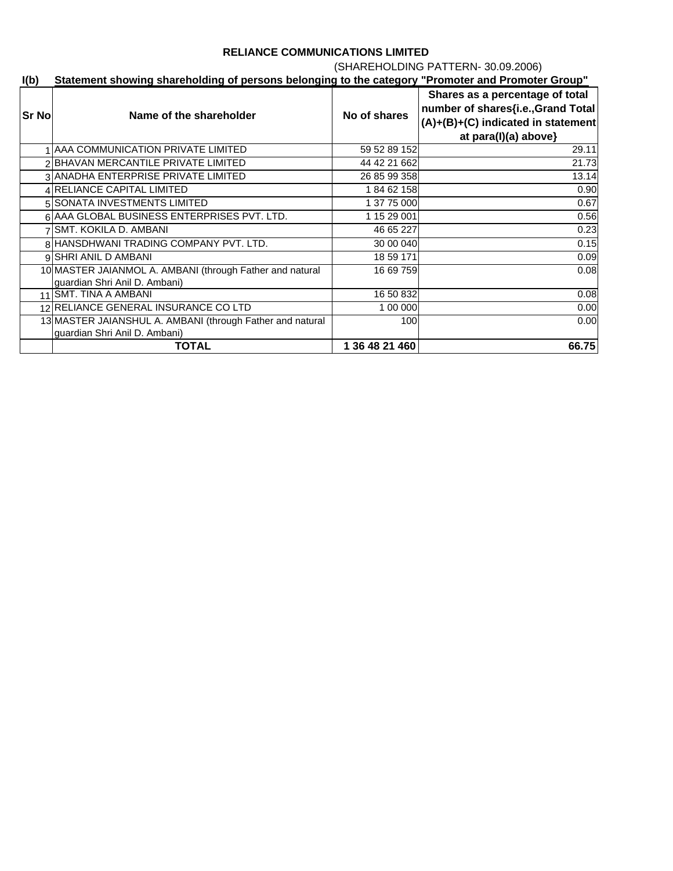# (SHAREHOLDING PATTERN- 30.09.2006)

## **I(b) Statement showing shareholding of persons belonging to the category "Promoter and Promoter Group"**

| Sr No | Name of the shareholder                                                                    | No of shares   | Shares as a percentage of total<br>number of shares{i.e., Grand Total<br>$(A) + (B) + (C)$ indicated in statement<br>at $para(l)(a)$ above} |
|-------|--------------------------------------------------------------------------------------------|----------------|---------------------------------------------------------------------------------------------------------------------------------------------|
|       | AAA COMMUNICATION PRIVATE LIMITED                                                          | 59 52 89 152   | 29.11                                                                                                                                       |
|       | BHAVAN MERCANTILE PRIVATE LIMITED                                                          | 44 42 21 662   | 21.73                                                                                                                                       |
|       | 3 ANADHA ENTERPRISE PRIVATE LIMITED                                                        | 26 85 99 358   | 13.14                                                                                                                                       |
|       | 4 RELIANCE CAPITAL LIMITED                                                                 | 18462158       | 0.90                                                                                                                                        |
|       | 5 SONATA INVESTMENTS LIMITED                                                               | 1 37 75 000    | 0.67                                                                                                                                        |
|       | 6 AAA GLOBAL BUSINESS ENTERPRISES PVT. LTD.                                                | 1 15 29 001    | 0.56                                                                                                                                        |
|       | <b>SMT. KOKILA D. AMBANI</b>                                                               | 46 65 227      | 0.23                                                                                                                                        |
|       | 8 HANSDHWANI TRADING COMPANY PVT. LTD.                                                     | 30 00 040      | 0.15                                                                                                                                        |
|       | 9 SHRI ANIL D AMBANI                                                                       | 18 59 171      | 0.09                                                                                                                                        |
|       | 10 MASTER JAIANMOL A. AMBANI (through Father and natural<br>guardian Shri Anil D. Ambani)  | 16 69 759      | 0.08                                                                                                                                        |
|       | 11 SMT. TINA A AMBANI                                                                      | 16 50 832      | 0.08                                                                                                                                        |
|       | 12 RELIANCE GENERAL INSURANCE CO LTD                                                       | 1 00 000       | 0.00                                                                                                                                        |
|       | 13 MASTER JAIANSHUL A. AMBANI (through Father and natural<br>guardian Shri Anil D. Ambani) | 100            | 0.00                                                                                                                                        |
|       | <b>TOTAL</b>                                                                               | 1 36 48 21 460 | 66.75                                                                                                                                       |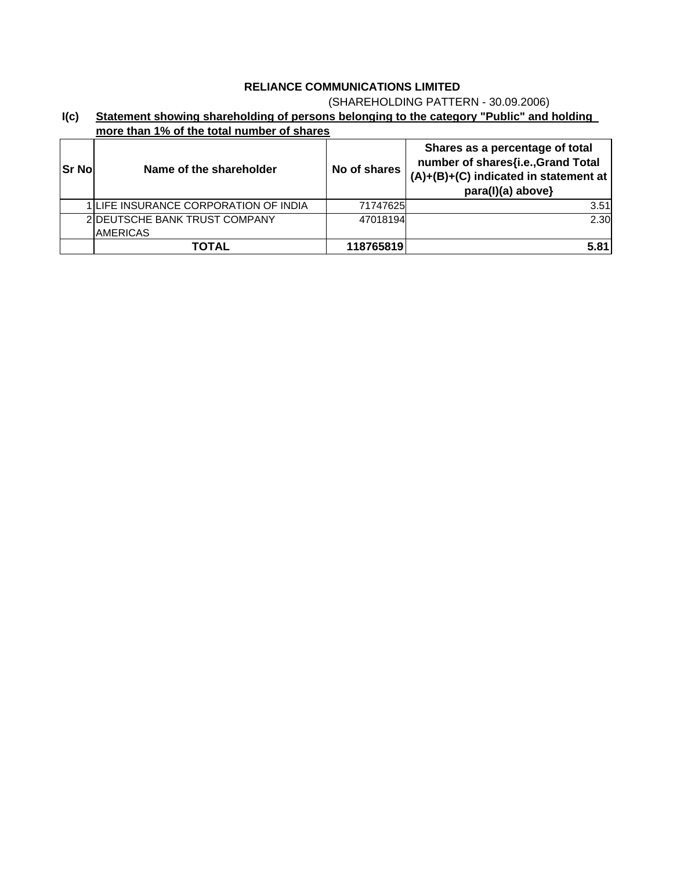## (SHAREHOLDING PATTERN - 30.09.2006)

| I(c) | Statement showing shareholding of persons belonging to the category "Public" and holding |  |
|------|------------------------------------------------------------------------------------------|--|
|      | more than 1% of the total number of shares                                               |  |

| <b>Sr No</b> | Name of the shareholder                          | No of shares | Shares as a percentage of total<br>number of shares{i.e., Grand Total<br>$(A)+(B)+(C)$ indicated in statement at<br>para(I)(a) above} |
|--------------|--------------------------------------------------|--------------|---------------------------------------------------------------------------------------------------------------------------------------|
|              | 1 LIFE INSURANCE CORPORATION OF INDIA            | 71747625     | 3.51                                                                                                                                  |
|              | 2 DEUTSCHE BANK TRUST COMPANY<br><b>AMERICAS</b> | 47018194     | 2.30                                                                                                                                  |
|              | TOTAL                                            | 118765819    | 5.81                                                                                                                                  |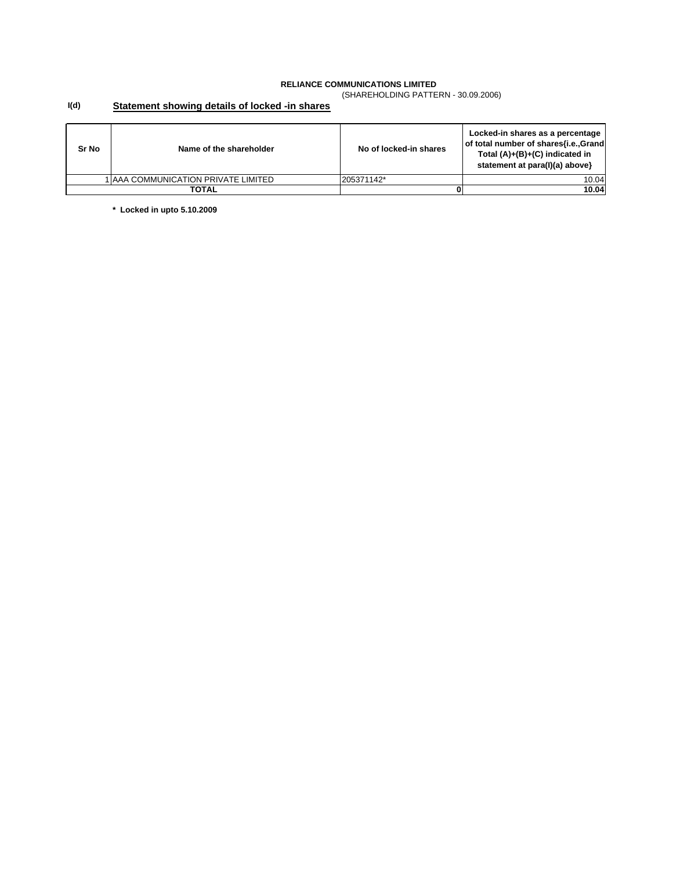(SHAREHOLDING PATTERN - 30.09.2006)

#### **I(d) Statement showing details of locked -in shares**

| Sr No | Name of the shareholder              | No of locked-in shares | Locked-in shares as a percentage<br>of total number of shares{i.e.,Grand<br>Total $(A)+(B)+(C)$ indicated in<br>statement at para(I)(a) above} |
|-------|--------------------------------------|------------------------|------------------------------------------------------------------------------------------------------------------------------------------------|
|       | I IAAA COMMUNICATION PRIVATE LIMITED | 205371142*             | 10.04                                                                                                                                          |
| TOTAL |                                      |                        | 10.04                                                                                                                                          |

**\* Locked in upto 5.10.2009**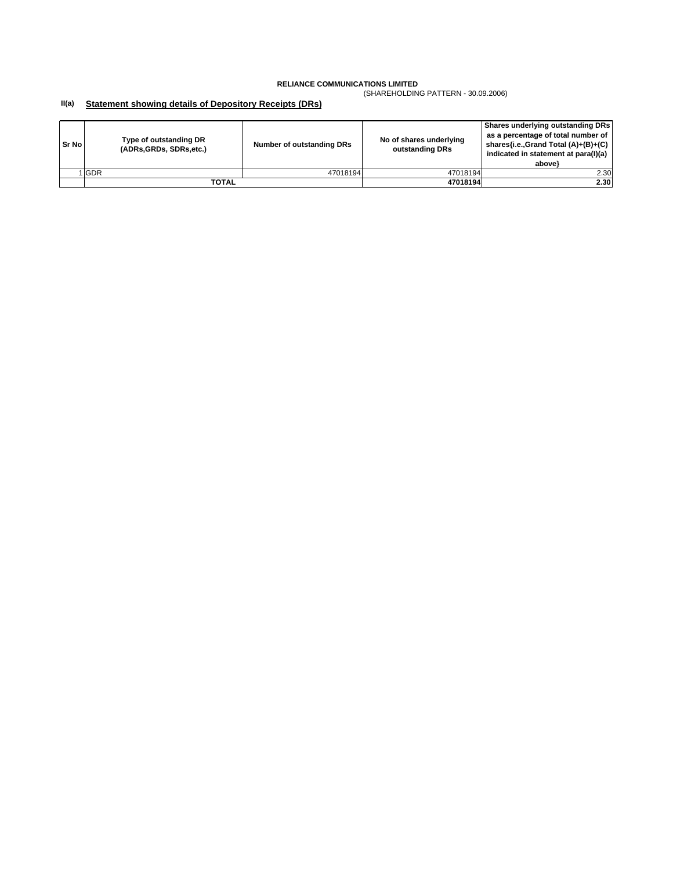(SHAREHOLDING PATTERN - 30.09.2006)

#### **II(a) Statement showing details of Depository Receipts (DRs)**

| Sr No | Type of outstanding DR<br>(ADRs, GRDs, SDRs, etc.) | Number of outstanding DRs | No of shares underlying<br>outstanding DRs | Shares underlying outstanding DRs<br>as a percentage of total number of<br>shares{i.e.,Grand Total (A)+(B)+(C)<br>indicated in statement at para(I)(a)<br>above} |
|-------|----------------------------------------------------|---------------------------|--------------------------------------------|------------------------------------------------------------------------------------------------------------------------------------------------------------------|
|       | 1 GDR                                              | 47018194                  | 47018194                                   | 2.30                                                                                                                                                             |
|       | TOTAL                                              |                           | 47018194                                   | 2.30                                                                                                                                                             |